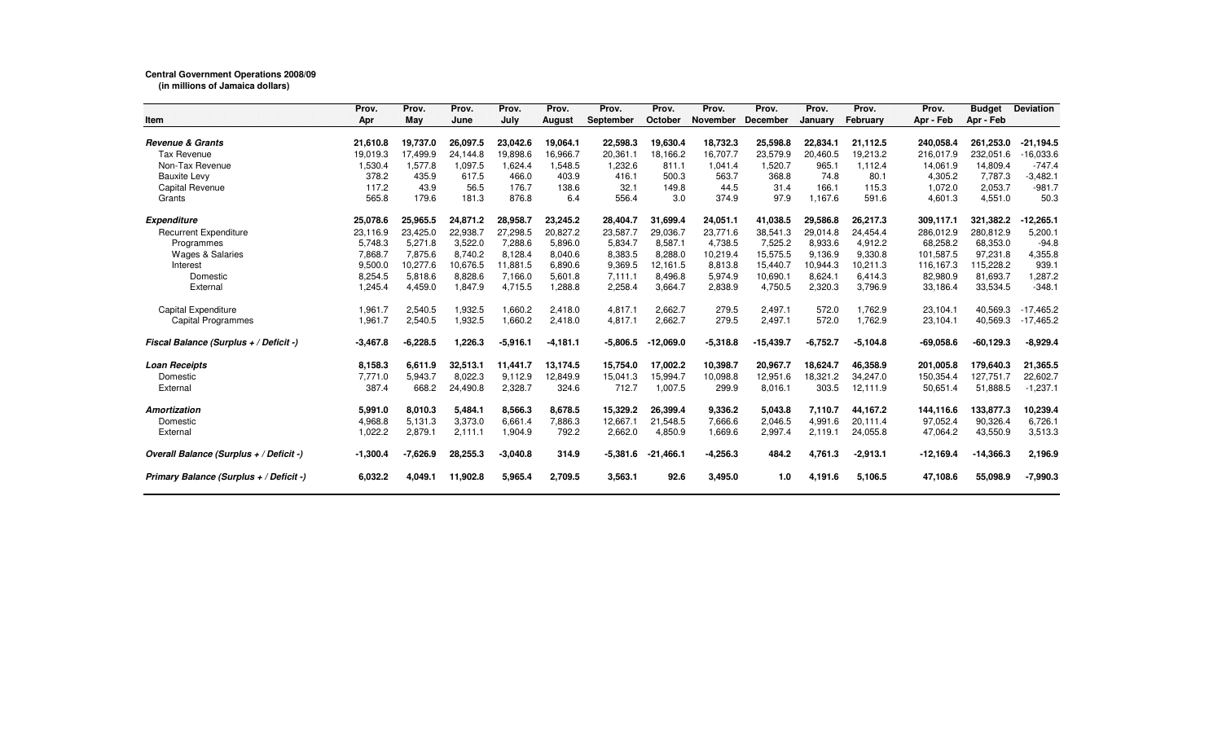## **Central Government Operations 2008/09 (in millions of Jamaica dollars)**

|                                         | Prov.      | Prov.      | Prov.    | Prov.      | Prov.         | Prov.      | Prov.          | Prov.           | Prov.           | Prov.      | Prov.           | Prov.       | <b>Budget</b> | <b>Deviation</b> |
|-----------------------------------------|------------|------------|----------|------------|---------------|------------|----------------|-----------------|-----------------|------------|-----------------|-------------|---------------|------------------|
| <b>Item</b>                             | Apr        | May        | June     | July       | <b>August</b> | September  | <b>October</b> | <b>November</b> | <b>December</b> | January    | <b>February</b> | Apr - Feb   | Apr - Feb     |                  |
| <b>Revenue &amp; Grants</b>             | 21,610.8   | 19,737.0   | 26,097.5 | 23.042.6   | 19,064.1      | 22,598.3   | 19,630.4       | 18,732.3        | 25,598.8        | 22.834.1   | 21,112.5        | 240,058.4   | 261,253.0     | -21,194.5        |
| <b>Tax Revenue</b>                      | 19,019.3   | 17,499.9   | 24,144.8 | 19,898.6   | 16,966.7      | 20,361.1   | 18,166.2       | 16,707.7        | 23,579.9        | 20,460.5   | 19,213.2        | 216,017.9   | 232,051.6     | 16,033.6         |
| Non-Tax Revenue                         | 1,530.4    | 1,577.8    | 1,097.5  | 1,624.4    | 1,548.5       | 1,232.6    | 811.1          | 1,041.4         | 1,520.7         | 965.1      | 1,112.4         | 14,061.9    | 14,809.4      | $-747.4$         |
| <b>Bauxite Levy</b>                     | 378.2      | 435.9      | 617.5    | 466.0      | 403.9         | 416.1      | 500.3          | 563.7           | 368.8           | 74.8       | 80.1            | 4,305.2     | 7,787.3       | $-3,482.1$       |
| Capital Revenue                         | 117.2      | 43.9       | 56.5     | 176.7      | 138.6         | 32.1       | 149.8          | 44.5            | 31.4            | 166.1      | 115.3           | 1,072.0     | 2,053.7       | $-981.7$         |
| Grants                                  | 565.8      | 179.6      | 181.3    | 876.8      | 6.4           | 556.4      | 3.0            | 374.9           | 97.9            | 1,167.6    | 591.6           | 4,601.3     | 4,551.0       | 50.3             |
| <b>Expenditure</b>                      | 25.078.6   | 25.965.5   | 24.871.2 | 28.958.7   | 23,245.2      | 28,404.7   | 31,699.4       | 24,051.1        | 41.038.5        | 29,586.8   | 26,217.3        | 309.117.1   | 321.382.2     | $-12,265.1$      |
| <b>Recurrent Expenditure</b>            | 23,116.9   | 23,425.0   | 22,938.7 | 27,298.5   | 20,827.2      | 23,587.7   | 29,036.7       | 23,771.6        | 38,541.3        | 29,014.8   | 24,454.4        | 286,012.9   | 280,812.9     | 5,200.1          |
| Programmes                              | 5,748.3    | 5,271.8    | 3,522.0  | 7,288.6    | 5,896.0       | 5,834.7    | 8,587.1        | 4,738.5         | 7,525.2         | 8,933.6    | 4,912.2         | 68,258.2    | 68,353.0      | $-94.8$          |
| <b>Wages &amp; Salaries</b>             | 7,868.7    | 7,875.6    | 8.740.2  | 8.128.4    | 8,040.6       | 8,383.5    | 8,288.0        | 10,219.4        | 15,575.5        | 9,136.9    | 9,330.8         | 101,587.5   | 97,231.8      | 4,355.8          |
| Interest                                | 9,500.0    | 10,277.6   | 10,676.5 | 11,881.5   | 6,890.6       | 9,369.5    | 12,161.5       | 8,813.8         | 15,440.7        | 10,944.3   | 10,211.3        | 116,167.3   | 115,228.2     | 939.1            |
| Domestic                                | 8,254.5    | 5,818.6    | 8,828.6  | 7,166.0    | 5,601.8       | 7,111.1    | 8,496.8        | 5,974.9         | 10,690.1        | 8,624.1    | 6,414.3         | 82,980.9    | 81,693.7      | 1,287.2          |
| External                                | 1,245.4    | 4,459.0    | 1,847.9  | 4,715.5    | 8.88.1        | 2,258.4    | 3,664.7        | 2,838.9         | 4,750.5         | 2,320.3    | 3,796.9         | 33,186.4    | 33,534.5      | $-348.1$         |
| Capital Expenditure                     | 1,961.7    | 2,540.5    | 1,932.5  | 1,660.2    | 2.418.0       | 4.817.1    | 2.662.7        | 279.5           | 2,497.1         | 572.0      | 1,762.9         | 23,104.1    | 40,569.3      | $-17,465.2$      |
| <b>Capital Programmes</b>               | 1,961.7    | 2,540.5    | 1,932.5  | 1,660.2    | 2.418.0       | 4.817.1    | 2,662.7        | 279.5           | 2,497.1         | 572.0      | 1,762.9         | 23,104.1    | 40,569.3      | $-17,465.2$      |
| Fiscal Balance (Surplus + / Deficit -)  | $-3,467.8$ | $-6,228.5$ | 1,226.3  | $-5,916.1$ | $-4,181.1$    | $-5,806.5$ | $-12,069.0$    | $-5,318.8$      | $-15,439.7$     | $-6,752.7$ | $-5,104.8$      | $-69,058.6$ | $-60, 129.3$  | $-8,929.4$       |
| <b>Loan Receipts</b>                    | 8,158.3    | 6.611.9    | 32,513.1 | 11.441.7   | 13,174.5      | 15.754.0   | 17,002.2       | 10,398.7        | 20,967.7        | 18.624.7   | 46,358.9        | 201.005.8   | 179.640.3     | 21,365.5         |
| Domestic                                | 7,771.0    | 5,943.7    | 8.022.3  | 9.112.9    | 12,849.9      | 15,041.3   | 15,994.7       | 10,098.8        | 12,951.6        | 18.321.2   | 34,247.0        | 150,354.4   | 127,751.7     | 22,602.7         |
| External                                | 387.4      | 668.2      | 24,490.8 | 2,328.7    | 324.6         | 712.7      | 1,007.5        | 299.9           | 8,016.1         | 303.5      | 12,111.9        | 50,651.4    | 51,888.5      | $-1,237.1$       |
| <b>Amortization</b>                     | 5,991.0    | 8,010.3    | 5,484.1  | 8,566.3    | 8,678.5       | 15,329.2   | 26,399.4       | 9,336.2         | 5,043.8         | 7,110.7    | 44,167.2        | 144,116.6   | 133,877.3     | 10,239.4         |
| Domestic                                | 4,968.8    | 5,131.3    | 3,373.0  | 6,661.4    | 7,886.3       | 12,667.1   | 21,548.5       | 7,666.6         | 2,046.5         | 4,991.6    | 20,111.4        | 97,052.4    | 90,326.4      | 6,726.1          |
| External                                | 1,022.2    | 2,879.1    | 2,111.1  | 1,904.9    | 792.2         | 2,662.0    | 4,850.9        | 1,669.6         | 2,997.4         | 2,119.1    | 24,055.8        | 47,064.2    | 43,550.9      | 3,513.3          |
| Overall Balance (Surplus + / Deficit -) | $-1,300.4$ | $-7.626.9$ | 28,255.3 | $-3.040.8$ | 314.9         | $-5,381.6$ | $-21.466.1$    | $-4,256.3$      | 484.2           | 4.761.3    | $-2,913.1$      | $-12,169.4$ | $-14,366.3$   | 2,196.9          |
| Primary Balance (Surplus + / Deficit -) | 6.032.2    | 4.049.1    | 11,902.8 | 5,965.4    | 2,709.5       | 3,563.1    | 92.6           | 3,495.0         | 1.0             | 4,191.6    | 5,106.5         | 47,108.6    | 55,098.9      | $-7,990.3$       |